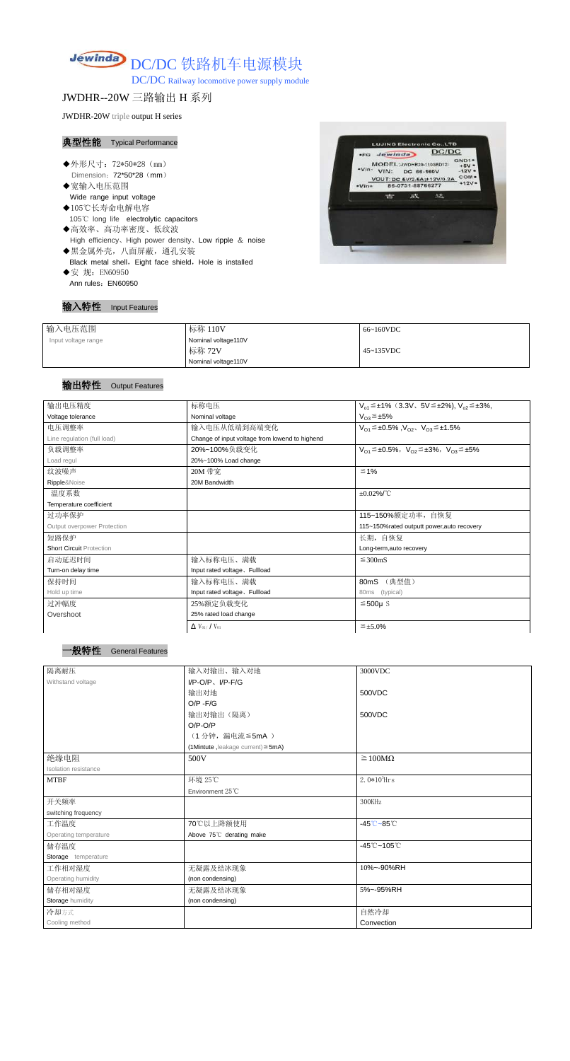

DC/DC Railway locomotive power supply module

JWDHR--20W 三路输出 H 系列

JWDHR-20W triple output H series

### 典型性能 Typical Performance

- ◆外形尺寸: 72\*50\*28 (mm) Dimension: 72\*50\*28 (mm)
- ◆宽输入电压范围 Wide range input voltage
- ◆105℃长寿命电解电容 105℃ long life electrolytic capacitors ◆高效率、高功率密度、低纹波
- High efficiency、High power density、Low ripple & noise
- ◆黑金属外壳,八面屏蔽,通孔安装 Black metal shell, Eight face shield, Hole is installed
- ◆安 规: EN60950 Ann rules: EN60950

#### 输入特性 Input Features



| 输入电压范围              | 标称 110V             | 66~160VDC         |
|---------------------|---------------------|-------------------|
| Input voltage range | Nominal voltage110V |                   |
|                     | 标称 72V              | $45 \sim 135$ VDC |
|                     | Nominal voltage110V |                   |

# 输出特性 Output Features



| 输出电压精度                          | 标称电压                                           | $V_{o1} \leq \pm 1\%$ (3.3V, 5V $\leq \pm 2\%$ ), $V_{o2} \leq \pm 3\%$ , |
|---------------------------------|------------------------------------------------|---------------------------------------------------------------------------|
| Voltage tolerance               | Nominal voltage                                | $V_{O3} \leq \pm 5\%$                                                     |
| 电压调整率                           | 输入电压从低端到高端变化                                   | $V_{O1} \leq \pm 0.5\%$ , $V_{O2}$ , $V_{O3} \leq \pm 1.5\%$              |
| Line regulation (full load)     | Change of input voltage from lowend to highend |                                                                           |
| 负载调整率                           | 20%~100%负载变化                                   | $V_{O1} \leq \pm 0.5\%$ , $V_{O2} \leq \pm 3\%$ , $V_{O3} \leq \pm 5\%$   |
| Load regul                      | 20%~100% Load change                           |                                                                           |
| 纹波噪声                            | 20M 带宽                                         | ≤ 1%                                                                      |
| Ripple&Noise                    | 20M Bandwidth                                  |                                                                           |
| 温度系数                            |                                                | $\pm 0.02\%$ /°C                                                          |
| Temperature coefficient         |                                                |                                                                           |
| 过功率保护                           |                                                | 115~150%额定功率,自恢复                                                          |
| Output overpower Protection     |                                                | 115~150%rated outputt power, auto recovery                                |
| 短路保护                            |                                                | 长期, 自恢复                                                                   |
| <b>Short Circuit Protection</b> |                                                | Long-term, auto recovery                                                  |
| 启动延迟时间                          | 输入标称电压、满载                                      | $\leq$ 300mS                                                              |
| Turn-on delay time              | Input rated voltage, Fullload                  |                                                                           |
| 保持时间                            | 输入标称电压、满载                                      | (典型值)<br>80mS                                                             |
| Hold up time                    | Input rated voltage, Fullload                  | (typical)<br>80ms                                                         |
| 过冲幅度                            | 25%额定负载变化                                      | $≤500µ$ S                                                                 |
| Overshoot                       | 25% rated load change                          |                                                                           |
|                                 |                                                |                                                                           |

| $\Delta$ V <sub>01</sub> /V <sub>01</sub> | $\leq$ ±5.0% |
|-------------------------------------------|--------------|
|-------------------------------------------|--------------|

| 隔离耐压                        | 输入对输出、输入对地                              | 3000VDC                                     |
|-----------------------------|-----------------------------------------|---------------------------------------------|
| Withstand voltage           | $I/P-O/P$ , $I/P-F/G$                   |                                             |
|                             | 输出对地                                    | 500VDC                                      |
|                             | $O/P - F/G$                             |                                             |
|                             | 输出对输出(隔离)                               | 500VDC                                      |
|                             | $O/P-O/P$                               |                                             |
|                             | (1分钟, 漏电流 ≦ 5mA)                        |                                             |
|                             | (1Mintute, leakage current) $\leq$ 5mA) |                                             |
| 绝缘电阻                        | 500V                                    | $\geq 100M\Omega$                           |
| <b>Isolation resistance</b> |                                         |                                             |
| <b>MTBF</b>                 | 环境 25℃                                  | $2.0*105$ Hrs                               |
|                             | Environment 25°C                        |                                             |
| 开关频率                        |                                         | 300KHz                                      |
| switching frequency         |                                         |                                             |
| 工作温度                        | 70℃以上降额使用                               | $-45^{\circ}\text{C} - 85^{\circ}\text{C}$  |
| Operating temperature       | Above 75°C derating make                |                                             |
| 储存温度                        |                                         | $-45^{\circ}\text{C} - 105^{\circ}\text{C}$ |
| Storage temperature         |                                         |                                             |
| 工作相对湿度                      | 无凝露及结冰现象                                | 10%~-90%RH                                  |
| Operating humidity          | (non condensing)                        |                                             |
| 储存相对湿度                      | 无凝露及结冰现象                                | 5%~-95%RH                                   |
| <b>Storage humidity</b>     | (non condensing)                        |                                             |
| 冷却方式                        |                                         | 自然冷却                                        |
| Cooling method              |                                         | Convection                                  |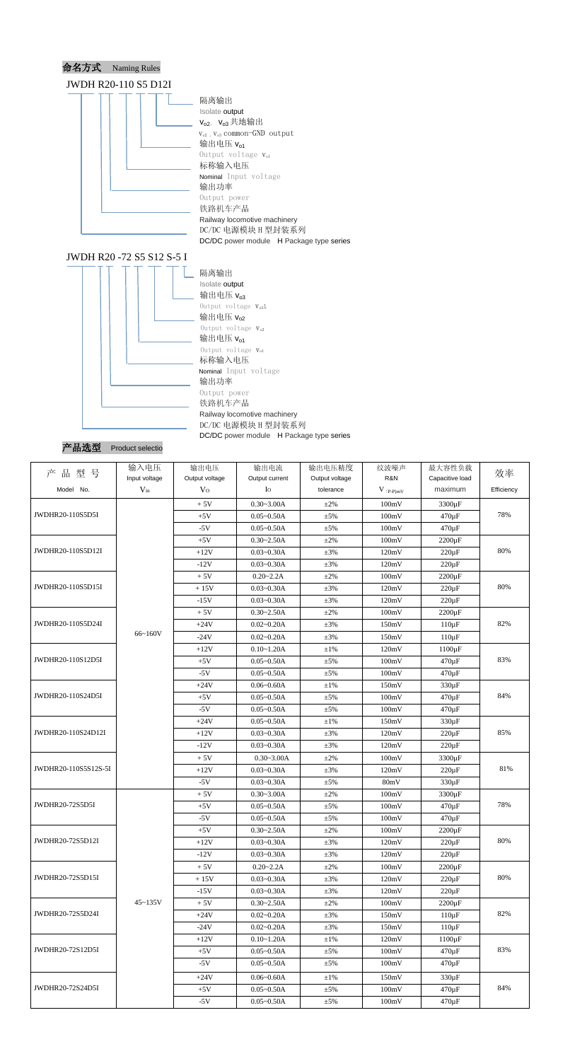

# JWDH R20 -72 S5 S12 S-5 I



# 产品选型 Product selectio

| R&N<br>Input voltage<br>Output voltage<br>Output voltage<br>Capacitive load<br>Output current<br>Model No.<br>$V_{in}$<br>Efficiency<br>V <sub>0</sub><br>tolerance<br>maximum<br>$I_{\rm O}$<br>$V$ (p-P)mV<br>$0.30 - 3.00A$<br>$+5V$<br>$\pm 2\%$<br>100mV<br>3300 µF<br>78%<br>100mV<br>$+5V$<br>$0.05 - 0.50A$<br>$\pm$ 5%<br>$470 \,\mathrm{\upmu F}$<br>$0.05 - 0.50A$<br>100mV<br>$470 \,\mathrm{\upmu F}$<br>$-5V$<br>$\pm$ 5%<br>$0.30 - 2.50A$<br>$2200 \,\mathrm{\upmu F}$<br>$+5V$<br>$\pm 2\%$<br>100mV<br>80%<br>$0.03 - 0.30A$<br>120mV<br>$+12V$<br>$\pm 3\%$<br>$220 \,\mathrm{\upmu F}$<br>$-12V$<br>$0.03 - 0.30A$<br>$\pm 3\%$<br>120mV<br>$220 \,\mathrm{\upmu F}$<br>$+5V$<br>$0.20 - 2.2A$<br>$\pm 2\%$<br>100mV<br>$2200 \,\mathrm{\upmu F}$<br>80%<br>120mV<br>$+15V$<br>$0.03 - 0.30A$<br>$\pm 3\%$<br>$220 \,\mathrm{\upmu F}$<br>$0.03 - 0.30A$<br>120mV<br>$-15V$<br>$\pm 3\%$<br>$220 \mu F$<br>$0.30 - 2.50A$<br>100mV<br>$+5V$<br>$\pm 2\%$<br>$2200 \,\mathrm{\upmu F}$<br>82%<br>$+24V$<br>$0.02 - 0.20A$<br>$\pm 3\%$<br>150mV<br>$110 \mu F$<br>66~160V<br>$-24V$<br>$0.02 - 0.20A$<br>$\pm 3\%$<br>150mV<br>$110 \,\mathrm{\upmu F}$<br>$0.10 - 1.20A$<br>120mV<br>$1100 \,\mathrm{\upmu F}$<br>$+12V$<br>$\pm1\%$<br>83%<br>$0.05 - 0.50A$<br>100mV<br>$+5V$<br>$\pm$ 5%<br>$470 \,\mathrm{\upmu F}$<br>$-5V$<br>$0.05 - 0.50A$<br>470 µF<br>±5%<br>100mV<br>150mV<br>330 µF<br>$+24V$<br>$0.06 - 0.60A$<br>$\pm1\%$<br>84%<br>$0.05 - 0.50A$<br>100mV<br>470 µF<br>$+5V$<br>$\pm$ 5%<br>100mV<br>$-5V$<br>$0.05 - 0.50A$<br>$\pm$ 5%<br>470 µF<br>150mV<br>$+24V$<br>$0.05 - 0.50A$<br>$\pm 1\%$<br>$330 \,\mathrm{\upmu F}$<br>85%<br>$0.03 - 0.30A$<br>120mV<br>$+12V$<br>$\pm 3\%$<br>$220 \mu F$<br>$0.03 - 0.30A$<br>$-12V$<br>$\pm 3\%$<br>120mV<br>$220 \,\mathrm{\upmu F}$<br>$+5V$<br>$0.30 - 3.00A$<br>$\pm 2\%$<br>100mV<br>3300 µF<br>81%<br>$+12V$<br>$0.03 - 0.30A$<br>$\pm 3\%$<br>120mV<br>$220 \, \mu F$<br>$-5V$<br>$0.03 - 0.30A$<br>80mV<br>$330 \,\mathrm{\upmu F}$<br>$±5\%$<br>3300 µF<br>$+5V$<br>$0.30 - 3.00A$<br>$\pm 2\%$<br>100mV<br>78%<br>$0.05 - 0.50A$<br>100mV<br>$470 \,\mathrm{\upmu F}$<br>$+5V$<br>$\pm$ 5%<br>100mV<br>470 µF<br>$-5V$<br>$0.05 - 0.50A$<br>$\pm$ 5%<br>100mV<br>$0.30 - 2.50A$<br>$\pm 2\%$<br>$2200 \,\mathrm{\upmu F}$<br>$+5V$<br>80%<br>120mV<br>$220 \,\mathrm{\upmu F}$<br>$+12V$<br>$0.03 - 0.30A$<br>$\pm 3\%$<br>120mV<br>$220 \mu F$<br>$-12V$<br>$0.03 - 0.30A$<br>$\pm 3\%$<br>100mV<br>$+5V$<br>$0.20 - 2.2A$<br>$\pm 2\%$<br>$2200 \,\mathrm{\upmu F}$<br>80%<br>$0.03 - 0.30A$<br>120mV<br>$+15V$<br>$\pm 3\%$<br>$220 \mu F$<br>$0.03 - 0.30A$<br>120mV<br>$220 \,\mathrm{\upmu F}$<br>$-15V$<br>$\pm 3\%$ | 品型号<br>产             | 输入电压 | 输出电压 | 输出电流 | 输出电压精度 | 纹波噪声 | 最大容性负载 | 效率 |
|----------------------------------------------------------------------------------------------------------------------------------------------------------------------------------------------------------------------------------------------------------------------------------------------------------------------------------------------------------------------------------------------------------------------------------------------------------------------------------------------------------------------------------------------------------------------------------------------------------------------------------------------------------------------------------------------------------------------------------------------------------------------------------------------------------------------------------------------------------------------------------------------------------------------------------------------------------------------------------------------------------------------------------------------------------------------------------------------------------------------------------------------------------------------------------------------------------------------------------------------------------------------------------------------------------------------------------------------------------------------------------------------------------------------------------------------------------------------------------------------------------------------------------------------------------------------------------------------------------------------------------------------------------------------------------------------------------------------------------------------------------------------------------------------------------------------------------------------------------------------------------------------------------------------------------------------------------------------------------------------------------------------------------------------------------------------------------------------------------------------------------------------------------------------------------------------------------------------------------------------------------------------------------------------------------------------------------------------------------------------------------------------------------------------------------------------------------------------------------------------------------------------------------------------------------------------------------------------------------------------------------------------------------------------------------------------------------------------------|----------------------|------|------|------|--------|------|--------|----|
|                                                                                                                                                                                                                                                                                                                                                                                                                                                                                                                                                                                                                                                                                                                                                                                                                                                                                                                                                                                                                                                                                                                                                                                                                                                                                                                                                                                                                                                                                                                                                                                                                                                                                                                                                                                                                                                                                                                                                                                                                                                                                                                                                                                                                                                                                                                                                                                                                                                                                                                                                                                                                                                                                                                            |                      |      |      |      |        |      |        |    |
|                                                                                                                                                                                                                                                                                                                                                                                                                                                                                                                                                                                                                                                                                                                                                                                                                                                                                                                                                                                                                                                                                                                                                                                                                                                                                                                                                                                                                                                                                                                                                                                                                                                                                                                                                                                                                                                                                                                                                                                                                                                                                                                                                                                                                                                                                                                                                                                                                                                                                                                                                                                                                                                                                                                            |                      |      |      |      |        |      |        |    |
|                                                                                                                                                                                                                                                                                                                                                                                                                                                                                                                                                                                                                                                                                                                                                                                                                                                                                                                                                                                                                                                                                                                                                                                                                                                                                                                                                                                                                                                                                                                                                                                                                                                                                                                                                                                                                                                                                                                                                                                                                                                                                                                                                                                                                                                                                                                                                                                                                                                                                                                                                                                                                                                                                                                            |                      |      |      |      |        |      |        |    |
|                                                                                                                                                                                                                                                                                                                                                                                                                                                                                                                                                                                                                                                                                                                                                                                                                                                                                                                                                                                                                                                                                                                                                                                                                                                                                                                                                                                                                                                                                                                                                                                                                                                                                                                                                                                                                                                                                                                                                                                                                                                                                                                                                                                                                                                                                                                                                                                                                                                                                                                                                                                                                                                                                                                            | JWDHR20-110S5D5I     |      |      |      |        |      |        |    |
|                                                                                                                                                                                                                                                                                                                                                                                                                                                                                                                                                                                                                                                                                                                                                                                                                                                                                                                                                                                                                                                                                                                                                                                                                                                                                                                                                                                                                                                                                                                                                                                                                                                                                                                                                                                                                                                                                                                                                                                                                                                                                                                                                                                                                                                                                                                                                                                                                                                                                                                                                                                                                                                                                                                            |                      |      |      |      |        |      |        |    |
|                                                                                                                                                                                                                                                                                                                                                                                                                                                                                                                                                                                                                                                                                                                                                                                                                                                                                                                                                                                                                                                                                                                                                                                                                                                                                                                                                                                                                                                                                                                                                                                                                                                                                                                                                                                                                                                                                                                                                                                                                                                                                                                                                                                                                                                                                                                                                                                                                                                                                                                                                                                                                                                                                                                            |                      |      |      |      |        |      |        |    |
|                                                                                                                                                                                                                                                                                                                                                                                                                                                                                                                                                                                                                                                                                                                                                                                                                                                                                                                                                                                                                                                                                                                                                                                                                                                                                                                                                                                                                                                                                                                                                                                                                                                                                                                                                                                                                                                                                                                                                                                                                                                                                                                                                                                                                                                                                                                                                                                                                                                                                                                                                                                                                                                                                                                            | JWDHR20-110S5D12I    |      |      |      |        |      |        |    |
|                                                                                                                                                                                                                                                                                                                                                                                                                                                                                                                                                                                                                                                                                                                                                                                                                                                                                                                                                                                                                                                                                                                                                                                                                                                                                                                                                                                                                                                                                                                                                                                                                                                                                                                                                                                                                                                                                                                                                                                                                                                                                                                                                                                                                                                                                                                                                                                                                                                                                                                                                                                                                                                                                                                            |                      |      |      |      |        |      |        |    |
|                                                                                                                                                                                                                                                                                                                                                                                                                                                                                                                                                                                                                                                                                                                                                                                                                                                                                                                                                                                                                                                                                                                                                                                                                                                                                                                                                                                                                                                                                                                                                                                                                                                                                                                                                                                                                                                                                                                                                                                                                                                                                                                                                                                                                                                                                                                                                                                                                                                                                                                                                                                                                                                                                                                            |                      |      |      |      |        |      |        |    |
|                                                                                                                                                                                                                                                                                                                                                                                                                                                                                                                                                                                                                                                                                                                                                                                                                                                                                                                                                                                                                                                                                                                                                                                                                                                                                                                                                                                                                                                                                                                                                                                                                                                                                                                                                                                                                                                                                                                                                                                                                                                                                                                                                                                                                                                                                                                                                                                                                                                                                                                                                                                                                                                                                                                            | JWDHR20-110S5D15I    |      |      |      |        |      |        |    |
|                                                                                                                                                                                                                                                                                                                                                                                                                                                                                                                                                                                                                                                                                                                                                                                                                                                                                                                                                                                                                                                                                                                                                                                                                                                                                                                                                                                                                                                                                                                                                                                                                                                                                                                                                                                                                                                                                                                                                                                                                                                                                                                                                                                                                                                                                                                                                                                                                                                                                                                                                                                                                                                                                                                            |                      |      |      |      |        |      |        |    |
|                                                                                                                                                                                                                                                                                                                                                                                                                                                                                                                                                                                                                                                                                                                                                                                                                                                                                                                                                                                                                                                                                                                                                                                                                                                                                                                                                                                                                                                                                                                                                                                                                                                                                                                                                                                                                                                                                                                                                                                                                                                                                                                                                                                                                                                                                                                                                                                                                                                                                                                                                                                                                                                                                                                            |                      |      |      |      |        |      |        |    |
|                                                                                                                                                                                                                                                                                                                                                                                                                                                                                                                                                                                                                                                                                                                                                                                                                                                                                                                                                                                                                                                                                                                                                                                                                                                                                                                                                                                                                                                                                                                                                                                                                                                                                                                                                                                                                                                                                                                                                                                                                                                                                                                                                                                                                                                                                                                                                                                                                                                                                                                                                                                                                                                                                                                            | JWDHR20-110S5D24I    |      |      |      |        |      |        |    |
|                                                                                                                                                                                                                                                                                                                                                                                                                                                                                                                                                                                                                                                                                                                                                                                                                                                                                                                                                                                                                                                                                                                                                                                                                                                                                                                                                                                                                                                                                                                                                                                                                                                                                                                                                                                                                                                                                                                                                                                                                                                                                                                                                                                                                                                                                                                                                                                                                                                                                                                                                                                                                                                                                                                            |                      |      |      |      |        |      |        |    |
|                                                                                                                                                                                                                                                                                                                                                                                                                                                                                                                                                                                                                                                                                                                                                                                                                                                                                                                                                                                                                                                                                                                                                                                                                                                                                                                                                                                                                                                                                                                                                                                                                                                                                                                                                                                                                                                                                                                                                                                                                                                                                                                                                                                                                                                                                                                                                                                                                                                                                                                                                                                                                                                                                                                            |                      |      |      |      |        |      |        |    |
|                                                                                                                                                                                                                                                                                                                                                                                                                                                                                                                                                                                                                                                                                                                                                                                                                                                                                                                                                                                                                                                                                                                                                                                                                                                                                                                                                                                                                                                                                                                                                                                                                                                                                                                                                                                                                                                                                                                                                                                                                                                                                                                                                                                                                                                                                                                                                                                                                                                                                                                                                                                                                                                                                                                            | JWDHR20-110S12D5I    |      |      |      |        |      |        |    |
|                                                                                                                                                                                                                                                                                                                                                                                                                                                                                                                                                                                                                                                                                                                                                                                                                                                                                                                                                                                                                                                                                                                                                                                                                                                                                                                                                                                                                                                                                                                                                                                                                                                                                                                                                                                                                                                                                                                                                                                                                                                                                                                                                                                                                                                                                                                                                                                                                                                                                                                                                                                                                                                                                                                            |                      |      |      |      |        |      |        |    |
|                                                                                                                                                                                                                                                                                                                                                                                                                                                                                                                                                                                                                                                                                                                                                                                                                                                                                                                                                                                                                                                                                                                                                                                                                                                                                                                                                                                                                                                                                                                                                                                                                                                                                                                                                                                                                                                                                                                                                                                                                                                                                                                                                                                                                                                                                                                                                                                                                                                                                                                                                                                                                                                                                                                            |                      |      |      |      |        |      |        |    |
|                                                                                                                                                                                                                                                                                                                                                                                                                                                                                                                                                                                                                                                                                                                                                                                                                                                                                                                                                                                                                                                                                                                                                                                                                                                                                                                                                                                                                                                                                                                                                                                                                                                                                                                                                                                                                                                                                                                                                                                                                                                                                                                                                                                                                                                                                                                                                                                                                                                                                                                                                                                                                                                                                                                            | JWDHR20-110S24D5I    |      |      |      |        |      |        |    |
|                                                                                                                                                                                                                                                                                                                                                                                                                                                                                                                                                                                                                                                                                                                                                                                                                                                                                                                                                                                                                                                                                                                                                                                                                                                                                                                                                                                                                                                                                                                                                                                                                                                                                                                                                                                                                                                                                                                                                                                                                                                                                                                                                                                                                                                                                                                                                                                                                                                                                                                                                                                                                                                                                                                            |                      |      |      |      |        |      |        |    |
|                                                                                                                                                                                                                                                                                                                                                                                                                                                                                                                                                                                                                                                                                                                                                                                                                                                                                                                                                                                                                                                                                                                                                                                                                                                                                                                                                                                                                                                                                                                                                                                                                                                                                                                                                                                                                                                                                                                                                                                                                                                                                                                                                                                                                                                                                                                                                                                                                                                                                                                                                                                                                                                                                                                            |                      |      |      |      |        |      |        |    |
|                                                                                                                                                                                                                                                                                                                                                                                                                                                                                                                                                                                                                                                                                                                                                                                                                                                                                                                                                                                                                                                                                                                                                                                                                                                                                                                                                                                                                                                                                                                                                                                                                                                                                                                                                                                                                                                                                                                                                                                                                                                                                                                                                                                                                                                                                                                                                                                                                                                                                                                                                                                                                                                                                                                            | JWDHR20-110S24D12I   |      |      |      |        |      |        |    |
|                                                                                                                                                                                                                                                                                                                                                                                                                                                                                                                                                                                                                                                                                                                                                                                                                                                                                                                                                                                                                                                                                                                                                                                                                                                                                                                                                                                                                                                                                                                                                                                                                                                                                                                                                                                                                                                                                                                                                                                                                                                                                                                                                                                                                                                                                                                                                                                                                                                                                                                                                                                                                                                                                                                            |                      |      |      |      |        |      |        |    |
|                                                                                                                                                                                                                                                                                                                                                                                                                                                                                                                                                                                                                                                                                                                                                                                                                                                                                                                                                                                                                                                                                                                                                                                                                                                                                                                                                                                                                                                                                                                                                                                                                                                                                                                                                                                                                                                                                                                                                                                                                                                                                                                                                                                                                                                                                                                                                                                                                                                                                                                                                                                                                                                                                                                            |                      |      |      |      |        |      |        |    |
|                                                                                                                                                                                                                                                                                                                                                                                                                                                                                                                                                                                                                                                                                                                                                                                                                                                                                                                                                                                                                                                                                                                                                                                                                                                                                                                                                                                                                                                                                                                                                                                                                                                                                                                                                                                                                                                                                                                                                                                                                                                                                                                                                                                                                                                                                                                                                                                                                                                                                                                                                                                                                                                                                                                            | JWDHR20-110S5S12S-5I |      |      |      |        |      |        |    |
|                                                                                                                                                                                                                                                                                                                                                                                                                                                                                                                                                                                                                                                                                                                                                                                                                                                                                                                                                                                                                                                                                                                                                                                                                                                                                                                                                                                                                                                                                                                                                                                                                                                                                                                                                                                                                                                                                                                                                                                                                                                                                                                                                                                                                                                                                                                                                                                                                                                                                                                                                                                                                                                                                                                            |                      |      |      |      |        |      |        |    |
|                                                                                                                                                                                                                                                                                                                                                                                                                                                                                                                                                                                                                                                                                                                                                                                                                                                                                                                                                                                                                                                                                                                                                                                                                                                                                                                                                                                                                                                                                                                                                                                                                                                                                                                                                                                                                                                                                                                                                                                                                                                                                                                                                                                                                                                                                                                                                                                                                                                                                                                                                                                                                                                                                                                            |                      |      |      |      |        |      |        |    |
|                                                                                                                                                                                                                                                                                                                                                                                                                                                                                                                                                                                                                                                                                                                                                                                                                                                                                                                                                                                                                                                                                                                                                                                                                                                                                                                                                                                                                                                                                                                                                                                                                                                                                                                                                                                                                                                                                                                                                                                                                                                                                                                                                                                                                                                                                                                                                                                                                                                                                                                                                                                                                                                                                                                            | JWDHR20-72S5D5I      |      |      |      |        |      |        |    |
|                                                                                                                                                                                                                                                                                                                                                                                                                                                                                                                                                                                                                                                                                                                                                                                                                                                                                                                                                                                                                                                                                                                                                                                                                                                                                                                                                                                                                                                                                                                                                                                                                                                                                                                                                                                                                                                                                                                                                                                                                                                                                                                                                                                                                                                                                                                                                                                                                                                                                                                                                                                                                                                                                                                            |                      |      |      |      |        |      |        |    |
|                                                                                                                                                                                                                                                                                                                                                                                                                                                                                                                                                                                                                                                                                                                                                                                                                                                                                                                                                                                                                                                                                                                                                                                                                                                                                                                                                                                                                                                                                                                                                                                                                                                                                                                                                                                                                                                                                                                                                                                                                                                                                                                                                                                                                                                                                                                                                                                                                                                                                                                                                                                                                                                                                                                            |                      |      |      |      |        |      |        |    |
|                                                                                                                                                                                                                                                                                                                                                                                                                                                                                                                                                                                                                                                                                                                                                                                                                                                                                                                                                                                                                                                                                                                                                                                                                                                                                                                                                                                                                                                                                                                                                                                                                                                                                                                                                                                                                                                                                                                                                                                                                                                                                                                                                                                                                                                                                                                                                                                                                                                                                                                                                                                                                                                                                                                            | JWDHR20-72S5D12I     |      |      |      |        |      |        |    |
|                                                                                                                                                                                                                                                                                                                                                                                                                                                                                                                                                                                                                                                                                                                                                                                                                                                                                                                                                                                                                                                                                                                                                                                                                                                                                                                                                                                                                                                                                                                                                                                                                                                                                                                                                                                                                                                                                                                                                                                                                                                                                                                                                                                                                                                                                                                                                                                                                                                                                                                                                                                                                                                                                                                            |                      |      |      |      |        |      |        |    |
|                                                                                                                                                                                                                                                                                                                                                                                                                                                                                                                                                                                                                                                                                                                                                                                                                                                                                                                                                                                                                                                                                                                                                                                                                                                                                                                                                                                                                                                                                                                                                                                                                                                                                                                                                                                                                                                                                                                                                                                                                                                                                                                                                                                                                                                                                                                                                                                                                                                                                                                                                                                                                                                                                                                            | JWDHR20-72S5D15I     |      |      |      |        |      |        |    |
|                                                                                                                                                                                                                                                                                                                                                                                                                                                                                                                                                                                                                                                                                                                                                                                                                                                                                                                                                                                                                                                                                                                                                                                                                                                                                                                                                                                                                                                                                                                                                                                                                                                                                                                                                                                                                                                                                                                                                                                                                                                                                                                                                                                                                                                                                                                                                                                                                                                                                                                                                                                                                                                                                                                            |                      |      |      |      |        |      |        |    |
|                                                                                                                                                                                                                                                                                                                                                                                                                                                                                                                                                                                                                                                                                                                                                                                                                                                                                                                                                                                                                                                                                                                                                                                                                                                                                                                                                                                                                                                                                                                                                                                                                                                                                                                                                                                                                                                                                                                                                                                                                                                                                                                                                                                                                                                                                                                                                                                                                                                                                                                                                                                                                                                                                                                            |                      |      |      |      |        |      |        |    |
| $45 - 135V$<br>$0.30 - 2.50A$<br>100mV<br>$2200 \,\mathrm{\upmu F}$<br>$+5V$<br>$\pm 2\%$                                                                                                                                                                                                                                                                                                                                                                                                                                                                                                                                                                                                                                                                                                                                                                                                                                                                                                                                                                                                                                                                                                                                                                                                                                                                                                                                                                                                                                                                                                                                                                                                                                                                                                                                                                                                                                                                                                                                                                                                                                                                                                                                                                                                                                                                                                                                                                                                                                                                                                                                                                                                                                  | JWDHR20-72S5D24I     |      |      |      |        |      |        |    |
| 82%<br>150mV<br>$+24V$<br>$0.02 - 0.20A$<br>$\pm 3\%$<br>$110 \mu F$                                                                                                                                                                                                                                                                                                                                                                                                                                                                                                                                                                                                                                                                                                                                                                                                                                                                                                                                                                                                                                                                                                                                                                                                                                                                                                                                                                                                                                                                                                                                                                                                                                                                                                                                                                                                                                                                                                                                                                                                                                                                                                                                                                                                                                                                                                                                                                                                                                                                                                                                                                                                                                                       |                      |      |      |      |        |      |        |    |
| $-24V$<br>$0.02 - 0.20A$<br>$\pm 3\%$<br>150mV<br>$110 \mu F$                                                                                                                                                                                                                                                                                                                                                                                                                                                                                                                                                                                                                                                                                                                                                                                                                                                                                                                                                                                                                                                                                                                                                                                                                                                                                                                                                                                                                                                                                                                                                                                                                                                                                                                                                                                                                                                                                                                                                                                                                                                                                                                                                                                                                                                                                                                                                                                                                                                                                                                                                                                                                                                              |                      |      |      |      |        |      |        |    |
| $0.10 - 1.20A$<br>120mV<br>$1100 \,\mathrm{\upmu F}$<br>$+12V$<br>$\pm 1\%$                                                                                                                                                                                                                                                                                                                                                                                                                                                                                                                                                                                                                                                                                                                                                                                                                                                                                                                                                                                                                                                                                                                                                                                                                                                                                                                                                                                                                                                                                                                                                                                                                                                                                                                                                                                                                                                                                                                                                                                                                                                                                                                                                                                                                                                                                                                                                                                                                                                                                                                                                                                                                                                | JWDHR20-72S12D5I     |      |      |      |        |      |        |    |
| 83%<br>470 µF<br>$0.05 - 0.50A$<br>100mV<br>$+5V$<br>$\pm$ 5%                                                                                                                                                                                                                                                                                                                                                                                                                                                                                                                                                                                                                                                                                                                                                                                                                                                                                                                                                                                                                                                                                                                                                                                                                                                                                                                                                                                                                                                                                                                                                                                                                                                                                                                                                                                                                                                                                                                                                                                                                                                                                                                                                                                                                                                                                                                                                                                                                                                                                                                                                                                                                                                              |                      |      |      |      |        |      |        |    |
| 100mV<br>$470 \,\mathrm{\upmu F}$<br>$-5V$<br>$0.05 - 0.50A$<br>$\pm$ 5%                                                                                                                                                                                                                                                                                                                                                                                                                                                                                                                                                                                                                                                                                                                                                                                                                                                                                                                                                                                                                                                                                                                                                                                                                                                                                                                                                                                                                                                                                                                                                                                                                                                                                                                                                                                                                                                                                                                                                                                                                                                                                                                                                                                                                                                                                                                                                                                                                                                                                                                                                                                                                                                   |                      |      |      |      |        |      |        |    |
| $0.06 - 0.60A$<br>150mV<br>330 µF<br>$+24V$<br>$\pm 1\%$                                                                                                                                                                                                                                                                                                                                                                                                                                                                                                                                                                                                                                                                                                                                                                                                                                                                                                                                                                                                                                                                                                                                                                                                                                                                                                                                                                                                                                                                                                                                                                                                                                                                                                                                                                                                                                                                                                                                                                                                                                                                                                                                                                                                                                                                                                                                                                                                                                                                                                                                                                                                                                                                   |                      |      |      |      |        |      |        |    |
| 84%<br>100mV<br>$470 \,\mathrm{\upmu F}$<br>$+5V$<br>$0.05 - 0.50A$<br>$\pm$ 5%                                                                                                                                                                                                                                                                                                                                                                                                                                                                                                                                                                                                                                                                                                                                                                                                                                                                                                                                                                                                                                                                                                                                                                                                                                                                                                                                                                                                                                                                                                                                                                                                                                                                                                                                                                                                                                                                                                                                                                                                                                                                                                                                                                                                                                                                                                                                                                                                                                                                                                                                                                                                                                            | JWDHR20-72S24D5I     |      |      |      |        |      |        |    |
| $-5V$<br>$0.05 - 0.50A$<br>100mV<br>$470 \,\mathrm{\upmu F}$<br>$\pm$ 5%                                                                                                                                                                                                                                                                                                                                                                                                                                                                                                                                                                                                                                                                                                                                                                                                                                                                                                                                                                                                                                                                                                                                                                                                                                                                                                                                                                                                                                                                                                                                                                                                                                                                                                                                                                                                                                                                                                                                                                                                                                                                                                                                                                                                                                                                                                                                                                                                                                                                                                                                                                                                                                                   |                      |      |      |      |        |      |        |    |